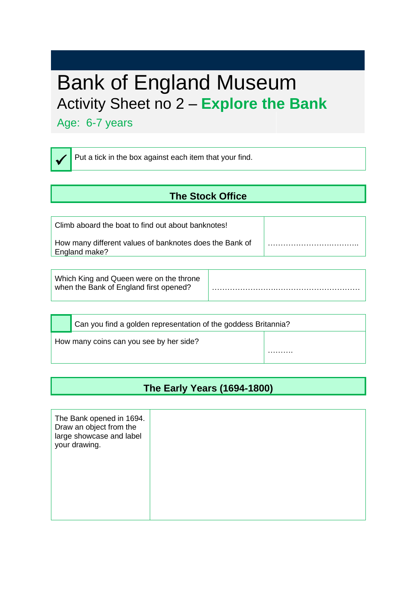# Bank of England Museum Activity Sheet no 2 – **Explore the Bank**

Age: 6-7 years

✓

Put a tick in the box against each item that your find.

#### **The Stock Office**

| Climb aboard the boat to find out about banknotes!                       |  |
|--------------------------------------------------------------------------|--|
| How many different values of banknotes does the Bank of<br>England make? |  |

| Which King and Queen were on the throne<br>when the Bank of England first opened? |  |
|-----------------------------------------------------------------------------------|--|
|                                                                                   |  |

Can you find a golden representation of the goddess Britannia? How many coins can you see by her side? ………

#### **The Early Years (1694-1800)**

| The Bank opened in 1694.<br>Draw an object from the<br>large showcase and label<br>your drawing. |  |  |  |  |
|--------------------------------------------------------------------------------------------------|--|--|--|--|
|                                                                                                  |  |  |  |  |
|                                                                                                  |  |  |  |  |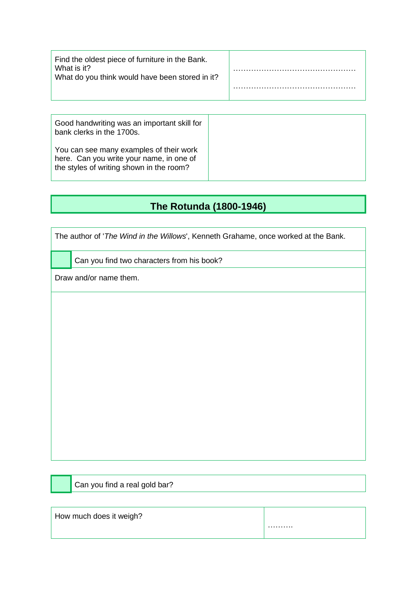| Find the oldest piece of furniture in the Bank.<br>What is it?<br>What do you think would have been stored in it? |  |
|-------------------------------------------------------------------------------------------------------------------|--|
|                                                                                                                   |  |
| Good handwriting was an important skill for                                                                       |  |

| <u>sood nanamining</u> mad an important often for<br>bank clerks in the 1700s.                                                  |
|---------------------------------------------------------------------------------------------------------------------------------|
| You can see many examples of their work<br>here. Can you write your name, in one of<br>the styles of writing shown in the room? |

## **The Rotunda (1800-1946)**

|  |  |  | The author of 'The Wind in the Willows', Kenneth Grahame, once worked at the Bank. |  |  |
|--|--|--|------------------------------------------------------------------------------------|--|--|
|  |  |  |                                                                                    |  |  |
|  |  |  |                                                                                    |  |  |

Can you find two characters from his book?

Draw and/or name them.

Can you find a real gold bar?

| How much does it weigh? |   |
|-------------------------|---|
|                         | . |